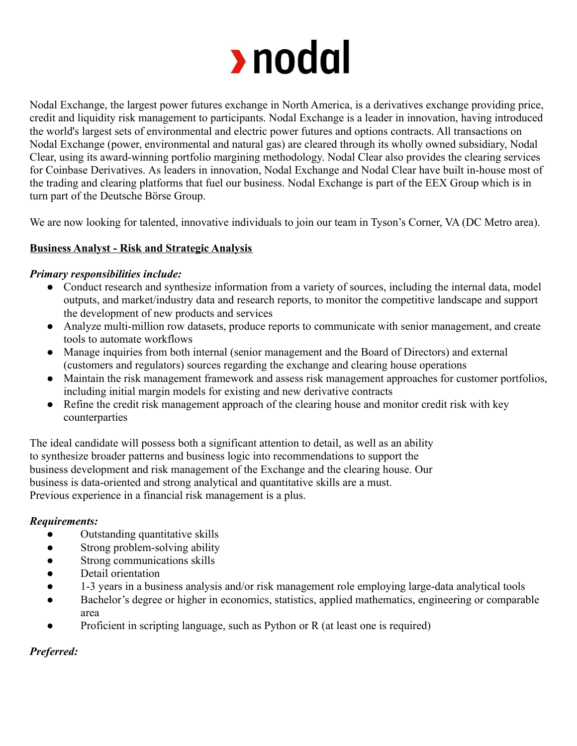

Nodal Exchange, the largest power futures exchange in North America, is a derivatives exchange providing price, credit and liquidity risk management to participants. Nodal Exchange is a leader in innovation, having introduced the world's largest sets of environmental and electric power futures and options contracts. All transactions on Nodal Exchange (power, environmental and natural gas) are cleared through its wholly owned subsidiary, Nodal Clear, using its award-winning portfolio margining methodology. Nodal Clear also provides the clearing services for Coinbase Derivatives. As leaders in innovation, Nodal Exchange and Nodal Clear have built in-house most of the trading and clearing platforms that fuel our business. Nodal Exchange is part of the EEX Group which is in turn part of the Deutsche Börse Group.

We are now looking for talented, innovative individuals to join our team in Tyson's Corner, VA (DC Metro area).

## **Business Analyst - Risk and Strategic Analysis**

### *Primary responsibilities include:*

- Conduct research and synthesize information from a variety of sources, including the internal data, model outputs, and market/industry data and research reports, to monitor the competitive landscape and support the development of new products and services
- Analyze multi-million row datasets, produce reports to communicate with senior management, and create tools to automate workflows
- Manage inquiries from both internal (senior management and the Board of Directors) and external (customers and regulators) sources regarding the exchange and clearing house operations
- Maintain the risk management framework and assess risk management approaches for customer portfolios, including initial margin models for existing and new derivative contracts
- Refine the credit risk management approach of the clearing house and monitor credit risk with key counterparties

The ideal candidate will possess both a significant attention to detail, as well as an ability to synthesize broader patterns and business logic into recommendations to support the business development and risk management of the Exchange and the clearing house. Our business is data-oriented and strong analytical and quantitative skills are a must. Previous experience in a financial risk management is a plus.

### *Requirements:*

- Outstanding quantitative skills
- Strong problem-solving ability
- Strong communications skills
- Detail orientation
- 1-3 years in a business analysis and/or risk management role employing large-data analytical tools
- Bachelor's degree or higher in economics, statistics, applied mathematics, engineering or comparable area
- Proficient in scripting language, such as Python or  $R$  (at least one is required)

### *Preferred:*